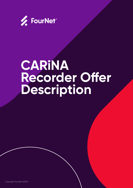

## **CARINA Recorder Offer Description**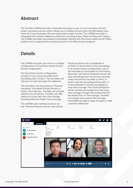## **Abstract**

The FourNet CARiNA recorder is Versatile and easy to use, it is an innovative call and screen recording solution which allows you to reliably record, store and effortlessly play back all of your business calls and associated screen activity. The CARINA recorder is integrated with several Telephony platforms Including Avaya, Mitel and Microsoft Teams. The CARiNA recorder has passed compatibility testing with the Avaya AURA and IP Office systems and is supported by Avaya pursuant to the Devconnect program.

## **Details**

The CARINA recorder can work in a simplex configuration or Dual Data Centre Active/ Active configuration.

The Dual Data centre configuration consists of two active recorders both recording calls in unison. The recorded call will exist on both recorders for resilience.

The recorders may be hosted on Physical Hardware, Virtualised Private Servers or Public Cloud Servers. FourNet can provide solutions for all options. FourNet can offer options for long-term low cost storage including NAS and Public Cloud storage.

The CARiNA User interface is known as the "Central Playback Server' the Central Playback Server has a database of pointers to the location of the recordings. In an Active/Active configuration one of the recorders is nominated as the Primary Recorder, the Central Playback Server will play recordings from the primary recorder unless the primary recorder is down, in which case the recording will be used. It is also possible to archive recordings to long-term storage. The Central Playback Server will play recordings from the longterm storage, though the access time will be slower than on-line storage. FourNet can supply and support NAS storage, immutable storage or tape storage to meet customer references.

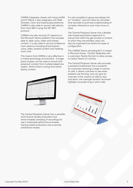CARINA integrates closely with Avaya AURA and IP Office; it also integrates with Mitel, Shoretel, Cisco and Openscape platforms. CARINA is also able to record calls directly from most SBC's using the SIP-REC protocol.

CARiNA now also records UC sessions on the Microsoft Teams platform; this includes desk to desk voice, video and shared content. it is also able to record conference room sessions including all participant voice, video, shared content and meeting room chat.

This means that CARiNA is very effective in a mixed technology environment. A single pane of glass can be used to record and playback content from multiple telephone system, Teams Direct routing and native teams content.



The Central Playback Server has a versatile and intuitive Quality Evaluation tool which enables sampling of recordings for use in employee performance reviews, training needs evaluation and customer satisfaction review.

It is also possible to group recordings into an "Incident", and sort them by the date/ time recorder to promote understanding of complex interactions over many hours or days.

The Central Playback Server has a flexible role-based permissions approach to ensure that staff only get access to content to which they are entitled; users can also be organised into teams for ease of configuration.

The CARiNA Teams recording BoT is hosted in Microsoft Azure. The BoT federates with a customers Teams Domain to allow access to native Teams UC activity.

The Central Playback Server also provides a powerful Dashboard; this is powerful for customers receiving a large of volume of calls, it allows customer to see when patterns are forming, and can give an overview of the volume of calls by day and team, the average duration and even highlight unusually long or short calls.